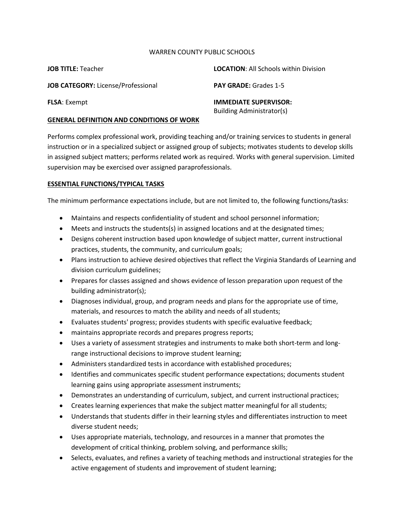#### WARREN COUNTY PUBLIC SCHOOLS

| <b>JOB TITLE: Teacher</b>                        | <b>LOCATION:</b> All Schools within Division              |
|--------------------------------------------------|-----------------------------------------------------------|
| <b>JOB CATEGORY: License/Professional</b>        | <b>PAY GRADE: Grades 1-5</b>                              |
| <b>FLSA:</b> Exempt                              | <b>IMMEDIATE SUPERVISOR:</b><br>Building Administrator(s) |
| <b>GENERAL DEFINITION AND CONDITIONS OF WORK</b> |                                                           |

Performs complex professional work, providing teaching and/or training services to students in general instruction or in a specialized subject or assigned group of subjects; motivates students to develop skills in assigned subject matters; performs related work as required. Works with general supervision. Limited supervision may be exercised over assigned paraprofessionals.

#### **ESSENTIAL FUNCTIONS/TYPICAL TASKS**

The minimum performance expectations include, but are not limited to, the following functions/tasks:

- Maintains and respects confidentiality of student and school personnel information;
- Meets and instructs the students(s) in assigned locations and at the designated times;
- Designs coherent instruction based upon knowledge of subject matter, current instructional practices, students, the community, and curriculum goals;
- Plans instruction to achieve desired objectives that reflect the Virginia Standards of Learning and division curriculum guidelines;
- Prepares for classes assigned and shows evidence of lesson preparation upon request of the building administrator(s);
- Diagnoses individual, group, and program needs and plans for the appropriate use of time, materials, and resources to match the ability and needs of all students;
- Evaluates students' progress; provides students with specific evaluative feedback;
- maintains appropriate records and prepares progress reports;
- Uses a variety of assessment strategies and instruments to make both short-term and longrange instructional decisions to improve student learning;
- Administers standardized tests in accordance with established procedures;
- Identifies and communicates specific student performance expectations; documents student learning gains using appropriate assessment instruments;
- Demonstrates an understanding of curriculum, subject, and current instructional practices;
- Creates learning experiences that make the subject matter meaningful for all students;
- Understands that students differ in their learning styles and differentiates instruction to meet diverse student needs;
- Uses appropriate materials, technology, and resources in a manner that promotes the development of critical thinking, problem solving, and performance skills;
- Selects, evaluates, and refines a variety of teaching methods and instructional strategies for the active engagement of students and improvement of student learning;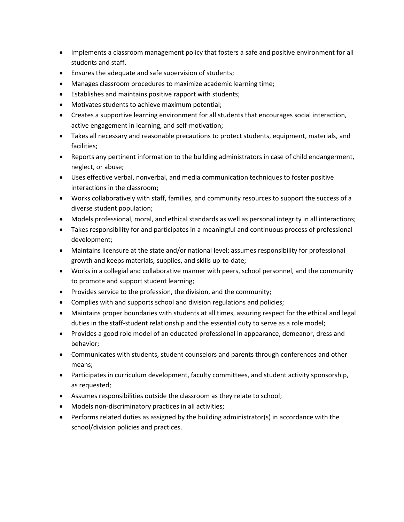- Implements a classroom management policy that fosters a safe and positive environment for all students and staff.
- Ensures the adequate and safe supervision of students;
- Manages classroom procedures to maximize academic learning time;
- Establishes and maintains positive rapport with students;
- Motivates students to achieve maximum potential;
- Creates a supportive learning environment for all students that encourages social interaction, active engagement in learning, and self-motivation;
- Takes all necessary and reasonable precautions to protect students, equipment, materials, and facilities;
- Reports any pertinent information to the building administrators in case of child endangerment, neglect, or abuse;
- Uses effective verbal, nonverbal, and media communication techniques to foster positive interactions in the classroom;
- Works collaboratively with staff, families, and community resources to support the success of a diverse student population;
- Models professional, moral, and ethical standards as well as personal integrity in all interactions;
- Takes responsibility for and participates in a meaningful and continuous process of professional development;
- Maintains licensure at the state and/or national level; assumes responsibility for professional growth and keeps materials, supplies, and skills up-to-date;
- Works in a collegial and collaborative manner with peers, school personnel, and the community to promote and support student learning;
- Provides service to the profession, the division, and the community;
- Complies with and supports school and division regulations and policies;
- Maintains proper boundaries with students at all times, assuring respect for the ethical and legal duties in the staff-student relationship and the essential duty to serve as a role model;
- Provides a good role model of an educated professional in appearance, demeanor, dress and behavior;
- Communicates with students, student counselors and parents through conferences and other means;
- Participates in curriculum development, faculty committees, and student activity sponsorship, as requested;
- Assumes responsibilities outside the classroom as they relate to school;
- Models non-discriminatory practices in all activities;
- Performs related duties as assigned by the building administrator(s) in accordance with the school/division policies and practices.